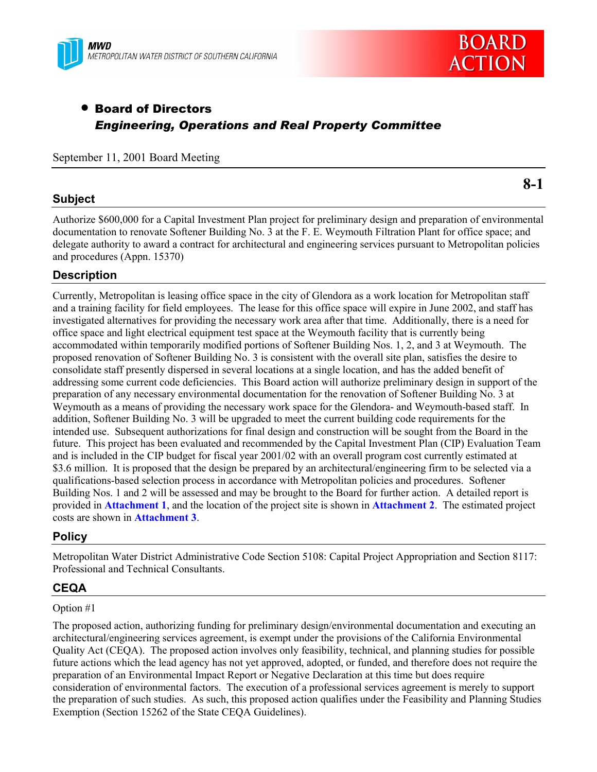



# • Board of Directors *Engineering, Operations and Real Property Committee*

September 11, 2001 Board Meeting

## **Subject**

**8-1**

Authorize \$600,000 for a Capital Investment Plan project for preliminary design and preparation of environmental documentation to renovate Softener Building No. 3 at the F. E. Weymouth Filtration Plant for office space; and delegate authority to award a contract for architectural and engineering services pursuant to Metropolitan policies and procedures (Appn. 15370)

## **Description**

Currently, Metropolitan is leasing office space in the city of Glendora as a work location for Metropolitan staff and a training facility for field employees. The lease for this office space will expire in June 2002, and staff has investigated alternatives for providing the necessary work area after that time. Additionally, there is a need for office space and light electrical equipment test space at the Weymouth facility that is currently being accommodated within temporarily modified portions of Softener Building Nos. 1, 2, and 3 at Weymouth. The proposed renovation of Softener Building No. 3 is consistent with the overall site plan, satisfies the desire to consolidate staff presently dispersed in several locations at a single location, and has the added benefit of addressing some current code deficiencies. This Board action will authorize preliminary design in support of the preparation of any necessary environmental documentation for the renovation of Softener Building No. 3 at Weymouth as a means of providing the necessary work space for the Glendora- and Weymouth-based staff. In addition, Softener Building No. 3 will be upgraded to meet the current building code requirements for the intended use. Subsequent authorizations for final design and construction will be sought from the Board in the future. This project has been evaluated and recommended by the Capital Investment Plan (CIP) Evaluation Team and is included in the CIP budget for fiscal year 2001/02 with an overall program cost currently estimated at \$3.6 million. It is proposed that the design be prepared by an architectural/engineering firm to be selected via a qualifications-based selection process in accordance with Metropolitan policies and procedures. Softener Building Nos. 1 and 2 will be assessed and may be brought to the Board for further action. A detailed report is provided in **Attachment 1**, and the location of the project site is shown in **Attachment 2**. The estimated project costs are shown in **Attachment 3**.

## **Policy**

Metropolitan Water District Administrative Code Section 5108: Capital Project Appropriation and Section 8117: Professional and Technical Consultants.

## **CEQA**

#### Option #1

The proposed action, authorizing funding for preliminary design/environmental documentation and executing an architectural/engineering services agreement, is exempt under the provisions of the California Environmental Quality Act (CEQA). The proposed action involves only feasibility, technical, and planning studies for possible future actions which the lead agency has not yet approved, adopted, or funded, and therefore does not require the preparation of an Environmental Impact Report or Negative Declaration at this time but does require consideration of environmental factors. The execution of a professional services agreement is merely to support the preparation of such studies. As such, this proposed action qualifies under the Feasibility and Planning Studies Exemption (Section 15262 of the State CEQA Guidelines).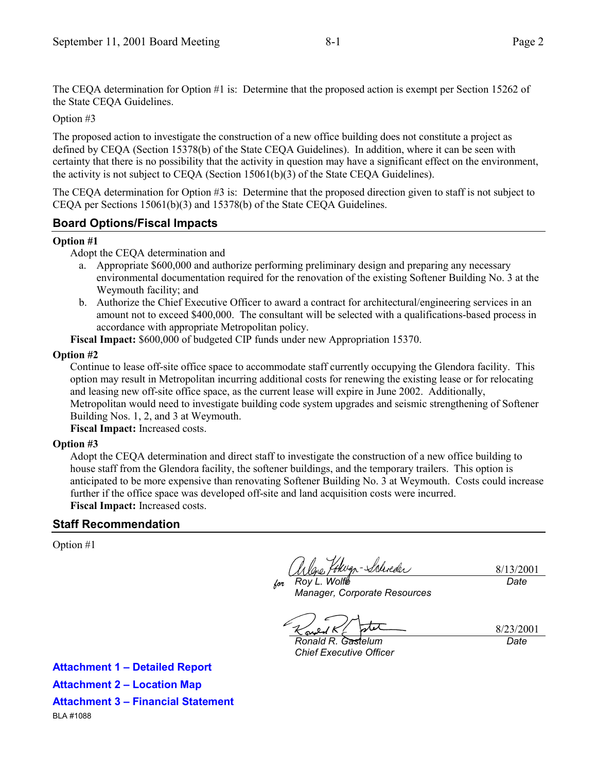The CEQA determination for Option #1 is: Determine that the proposed action is exempt per Section 15262 of the State CEQA Guidelines.

Option #3

The proposed action to investigate the construction of a new office building does not constitute a project as defined by CEQA (Section 15378(b) of the State CEQA Guidelines). In addition, where it can be seen with certainty that there is no possibility that the activity in question may have a significant effect on the environment, the activity is not subject to CEQA (Section 15061(b)(3) of the State CEQA Guidelines).

The CEQA determination for Option #3 is: Determine that the proposed direction given to staff is not subject to CEQA per Sections 15061(b)(3) and 15378(b) of the State CEQA Guidelines.

## **Board Options/Fiscal Impacts**

#### **Option #1**

Adopt the CEQA determination and

- a. Appropriate \$600,000 and authorize performing preliminary design and preparing any necessary environmental documentation required for the renovation of the existing Softener Building No. 3 at the Weymouth facility; and
- b. Authorize the Chief Executive Officer to award a contract for architectural/engineering services in an amount not to exceed \$400,000. The consultant will be selected with a qualifications-based process in accordance with appropriate Metropolitan policy.

**Fiscal Impact:** \$600,000 of budgeted CIP funds under new Appropriation 15370.

#### **Option #2**

Continue to lease off-site office space to accommodate staff currently occupying the Glendora facility. This option may result in Metropolitan incurring additional costs for renewing the existing lease or for relocating and leasing new off-site office space, as the current lease will expire in June 2002. Additionally, Metropolitan would need to investigate building code system upgrades and seismic strengthening of Softener Building Nos. 1, 2, and 3 at Weymouth.

**Fiscal Impact:** Increased costs.

#### **Option #3**

Adopt the CEQA determination and direct staff to investigate the construction of a new office building to house staff from the Glendora facility, the softener buildings, and the temporary trailers. This option is anticipated to be more expensive than renovating Softener Building No. 3 at Weymouth. Costs could increase further if the office space was developed off-site and land acquisition costs were incurred. **Fiscal Impact:** Increased costs.

## **Staff Recommendation**

Option #1

lono, Vokugn-Schreder 8/13/2001 *for Roy L. Wolfe Date*

*Manager, Corporate Resources*

8/23/2001 *Date*

*Ronald R. Gastelum Chief Executive Officer*

**Attachment 1 - Detailed Report Attachment 2 - Location Map Attachment 3 - Financial Statement** BLA #1088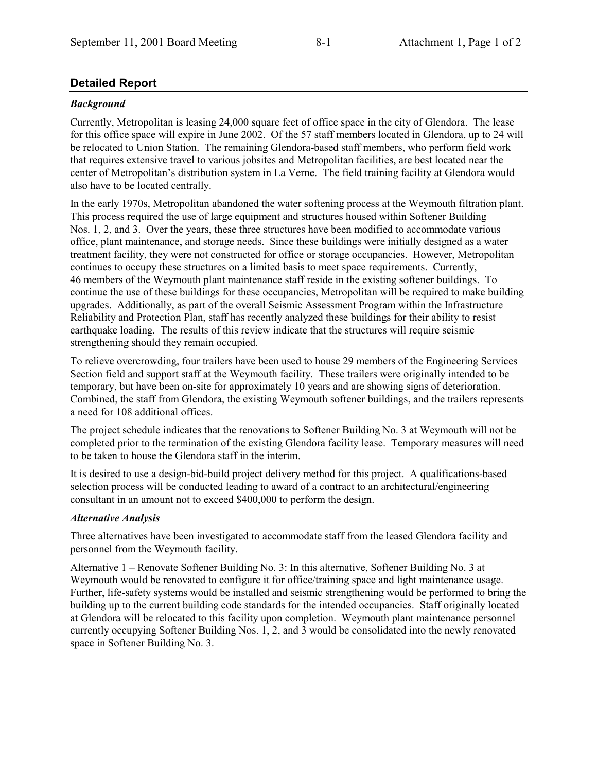## **Detailed Report**

### *Background*

Currently, Metropolitan is leasing 24,000 square feet of office space in the city of Glendora. The lease for this office space will expire in June 2002. Of the 57 staff members located in Glendora, up to 24 will be relocated to Union Station. The remaining Glendora-based staff members, who perform field work that requires extensive travel to various jobsites and Metropolitan facilities, are best located near the center of Metropolitanís distribution system in La Verne. The field training facility at Glendora would also have to be located centrally.

In the early 1970s, Metropolitan abandoned the water softening process at the Weymouth filtration plant. This process required the use of large equipment and structures housed within Softener Building Nos. 1, 2, and 3. Over the years, these three structures have been modified to accommodate various office, plant maintenance, and storage needs. Since these buildings were initially designed as a water treatment facility, they were not constructed for office or storage occupancies. However, Metropolitan continues to occupy these structures on a limited basis to meet space requirements. Currently, 46 members of the Weymouth plant maintenance staff reside in the existing softener buildings. To continue the use of these buildings for these occupancies, Metropolitan will be required to make building upgrades. Additionally, as part of the overall Seismic Assessment Program within the Infrastructure Reliability and Protection Plan, staff has recently analyzed these buildings for their ability to resist earthquake loading. The results of this review indicate that the structures will require seismic strengthening should they remain occupied.

To relieve overcrowding, four trailers have been used to house 29 members of the Engineering Services Section field and support staff at the Weymouth facility. These trailers were originally intended to be temporary, but have been on-site for approximately 10 years and are showing signs of deterioration. Combined, the staff from Glendora, the existing Weymouth softener buildings, and the trailers represents a need for 108 additional offices.

The project schedule indicates that the renovations to Softener Building No. 3 at Weymouth will not be completed prior to the termination of the existing Glendora facility lease. Temporary measures will need to be taken to house the Glendora staff in the interim.

It is desired to use a design-bid-build project delivery method for this project. A qualifications-based selection process will be conducted leading to award of a contract to an architectural/engineering consultant in an amount not to exceed \$400,000 to perform the design.

#### *Alternative Analysis*

Three alternatives have been investigated to accommodate staff from the leased Glendora facility and personnel from the Weymouth facility.

Alternative  $1$  – Renovate Softener Building No. 3: In this alternative, Softener Building No. 3 at Weymouth would be renovated to configure it for office/training space and light maintenance usage. Further, life-safety systems would be installed and seismic strengthening would be performed to bring the building up to the current building code standards for the intended occupancies. Staff originally located at Glendora will be relocated to this facility upon completion. Weymouth plant maintenance personnel currently occupying Softener Building Nos. 1, 2, and 3 would be consolidated into the newly renovated space in Softener Building No. 3.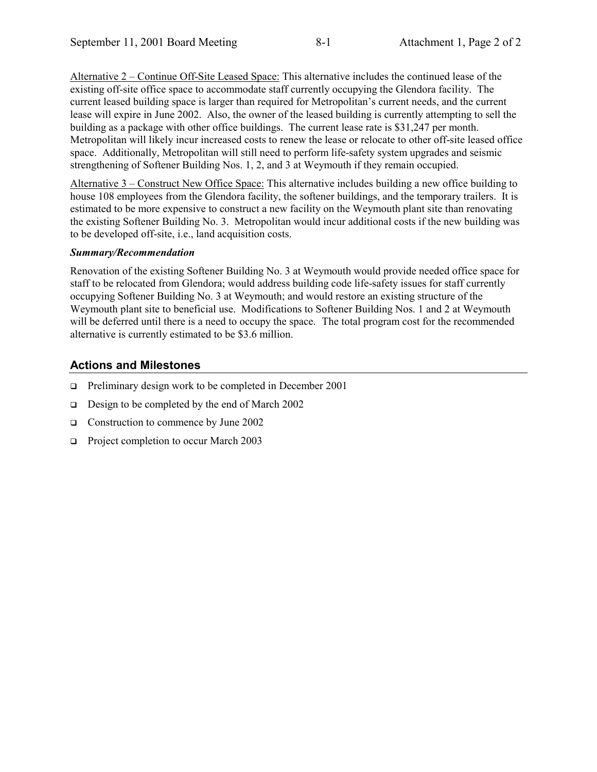Alternative  $2$  – Continue Off-Site Leased Space: This alternative includes the continued lease of the existing off-site office space to accommodate staff currently occupying the Glendora facility. The current leased building space is larger than required for Metropolitan's current needs, and the current lease will expire in June 2002. Also, the owner of the leased building is currently attempting to sell the building as a package with other office buildings. The current lease rate is \$31,247 per month. Metropolitan will likely incur increased costs to renew the lease or relocate to other off-site leased office space. Additionally, Metropolitan will still need to perform life-safety system upgrades and seismic strengthening of Softener Building Nos. 1, 2, and 3 at Weymouth if they remain occupied.

Alternative  $3$  – Construct New Office Space: This alternative includes building a new office building to house 108 employees from the Glendora facility, the softener buildings, and the temporary trailers. It is estimated to be more expensive to construct a new facility on the Weymouth plant site than renovating the existing Softener Building No. 3. Metropolitan would incur additional costs if the new building was to be developed off-site, i.e., land acquisition costs.

#### *Summary/Recommendation*

Renovation of the existing Softener Building No. 3 at Weymouth would provide needed office space for staff to be relocated from Glendora; would address building code life-safety issues for staff currently occupying Softener Building No. 3 at Weymouth; and would restore an existing structure of the Weymouth plant site to beneficial use. Modifications to Softener Building Nos. 1 and 2 at Weymouth will be deferred until there is a need to occupy the space.The total program cost for the recommended alternative is currently estimated to be \$3.6 million.

## **Actions and Milestones**

- $\Box$  Preliminary design work to be completed in December 2001
- $\Box$  Design to be completed by the end of March 2002
- □ Construction to commence by June 2002
- □ Project completion to occur March 2003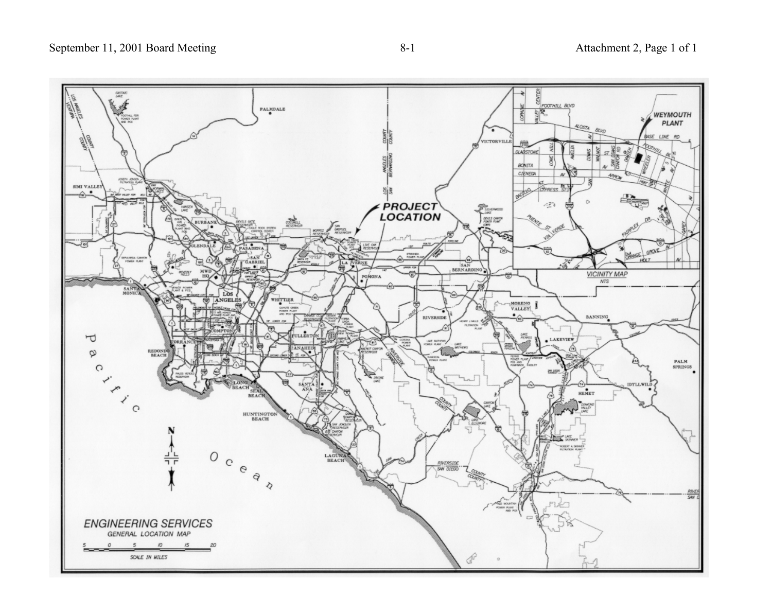